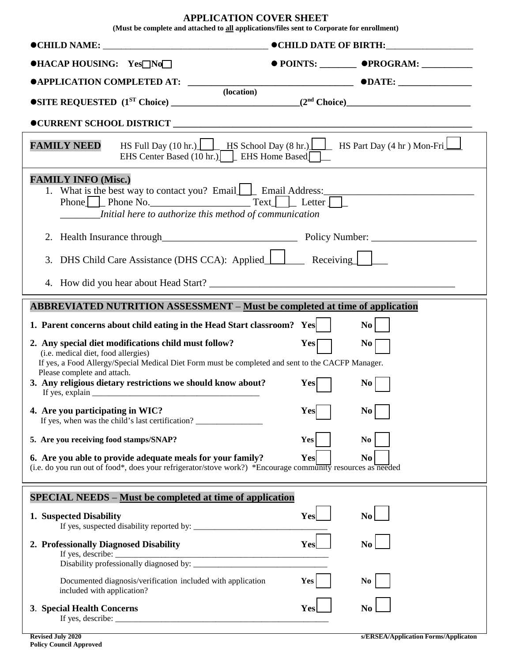**APPLICATION COVER SHEET (Must be complete and attached to all applications/files sent to Corporate for enrollment)**

|                                                                                                                                                                                                                                                                                                | ● CHILD DATE OF BIRTH:                                                                                                    |  |  |  |  |  |  |
|------------------------------------------------------------------------------------------------------------------------------------------------------------------------------------------------------------------------------------------------------------------------------------------------|---------------------------------------------------------------------------------------------------------------------------|--|--|--|--|--|--|
| $\bullet$ HACAP HOUSING: Yes $\Box$ No $\Box$                                                                                                                                                                                                                                                  | ● POINTS: ________ ●PROGRAM: _________                                                                                    |  |  |  |  |  |  |
| (location)                                                                                                                                                                                                                                                                                     |                                                                                                                           |  |  |  |  |  |  |
|                                                                                                                                                                                                                                                                                                |                                                                                                                           |  |  |  |  |  |  |
|                                                                                                                                                                                                                                                                                                |                                                                                                                           |  |  |  |  |  |  |
| <b>FAMILY NEED</b><br>EHS Center Based $(10 \text{ hr.})$ EHS Home Based                                                                                                                                                                                                                       | HS Full Day (10 hr.) $\underline{\phantom{a}}$ HS School Day (8 hr.) $\underline{\phantom{a}}$ HS Part Day (4 hr) Mon-Fri |  |  |  |  |  |  |
| <b>FAMILY INFO (Misc.)</b><br>1. What is the best way to contact you? Email Frail Address: ____________________<br>Phone $\Box$ Phone No. $\Box$ Text $\Box$ Letter $\Box$<br>Initial here to authorize this method of communication                                                           |                                                                                                                           |  |  |  |  |  |  |
|                                                                                                                                                                                                                                                                                                |                                                                                                                           |  |  |  |  |  |  |
| 3. DHS Child Care Assistance (DHS CCA): Applied Receiving                                                                                                                                                                                                                                      |                                                                                                                           |  |  |  |  |  |  |
|                                                                                                                                                                                                                                                                                                |                                                                                                                           |  |  |  |  |  |  |
| <b>ABBREVIATED NUTRITION ASSESSMENT – Must be completed at time of application</b>                                                                                                                                                                                                             |                                                                                                                           |  |  |  |  |  |  |
| 1. Parent concerns about child eating in the Head Start classroom? Yes                                                                                                                                                                                                                         | $\mathbf{N}\mathbf{0}$                                                                                                    |  |  |  |  |  |  |
| 2. Any special diet modifications child must follow?<br>(i.e. medical diet, food allergies)<br>If yes, a Food Allergy/Special Medical Diet Form must be completed and sent to the CACFP Manager.<br>Please complete and attach.<br>3. Any religious dietary restrictions we should know about? | $Yes\Box$<br>$\overline{N_0}$<br>Yes<br>No.                                                                               |  |  |  |  |  |  |
| 4. Are you participating in WIC?                                                                                                                                                                                                                                                               | Yes<br>$\bf{No}$                                                                                                          |  |  |  |  |  |  |
| 5. Are you receiving food stamps/SNAP?                                                                                                                                                                                                                                                         | Yes<br>N <sub>0</sub>                                                                                                     |  |  |  |  |  |  |
| 6. Are you able to provide adequate meals for your family?<br>(i.e. do you run out of food*, does your refrigerator/stove work?) *Encourage community resources as needed                                                                                                                      | Yes<br>N <sub>0</sub>                                                                                                     |  |  |  |  |  |  |
| <b>SPECIAL NEEDS</b> – Must be completed at time of application                                                                                                                                                                                                                                |                                                                                                                           |  |  |  |  |  |  |
| 1. Suspected Disability                                                                                                                                                                                                                                                                        | Yes<br>N <sub>0</sub>                                                                                                     |  |  |  |  |  |  |
| 2. Professionally Diagnosed Disability                                                                                                                                                                                                                                                         | Yes<br>N <sub>0</sub>                                                                                                     |  |  |  |  |  |  |
|                                                                                                                                                                                                                                                                                                |                                                                                                                           |  |  |  |  |  |  |
| Documented diagnosis/verification included with application<br>included with application?                                                                                                                                                                                                      | <b>Yes</b><br>N <sub>0</sub>                                                                                              |  |  |  |  |  |  |
| 3. Special Health Concerns<br>If yes, describe: $\frac{1}{\sqrt{1-\frac{1}{2}}}\left  \frac{1}{\sqrt{1-\frac{1}{2}}}\right $                                                                                                                                                                   | Yes<br>N <sub>0</sub>                                                                                                     |  |  |  |  |  |  |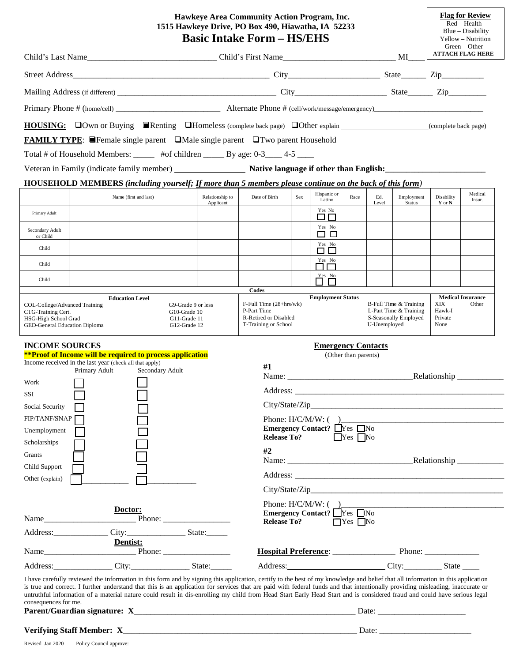| Hawkeye Area Community Action Program, Inc.<br>1515 Hawkeye Drive, PO Box 490, Hiawatha, IA 52233<br><b>Basic Intake Form - HS/EHS</b>                                                                                                                                                                                                                                                                                                                                                                                                                                |                                                                                                                         |                       |                              |                                                                                                                                     |     |                                                |                      | <b>Flag for Review</b><br>$Red - Health$<br>$Blue - Disability$<br>Yellow - Nutrition<br>Green - Other                                                    |                             |                         |         |  |
|-----------------------------------------------------------------------------------------------------------------------------------------------------------------------------------------------------------------------------------------------------------------------------------------------------------------------------------------------------------------------------------------------------------------------------------------------------------------------------------------------------------------------------------------------------------------------|-------------------------------------------------------------------------------------------------------------------------|-----------------------|------------------------------|-------------------------------------------------------------------------------------------------------------------------------------|-----|------------------------------------------------|----------------------|-----------------------------------------------------------------------------------------------------------------------------------------------------------|-----------------------------|-------------------------|---------|--|
|                                                                                                                                                                                                                                                                                                                                                                                                                                                                                                                                                                       |                                                                                                                         |                       |                              |                                                                                                                                     |     |                                                |                      |                                                                                                                                                           |                             | <b>ATTACH FLAG HERE</b> |         |  |
|                                                                                                                                                                                                                                                                                                                                                                                                                                                                                                                                                                       |                                                                                                                         |                       |                              |                                                                                                                                     |     |                                                |                      |                                                                                                                                                           |                             |                         |         |  |
|                                                                                                                                                                                                                                                                                                                                                                                                                                                                                                                                                                       |                                                                                                                         |                       |                              |                                                                                                                                     |     |                                                |                      |                                                                                                                                                           |                             |                         |         |  |
|                                                                                                                                                                                                                                                                                                                                                                                                                                                                                                                                                                       |                                                                                                                         |                       |                              |                                                                                                                                     |     |                                                |                      |                                                                                                                                                           |                             |                         |         |  |
| <b>HOUSING:</b> Own or Buying <b>Renting CHOmeless</b> (complete back page) <b>COther explain</b> (complete back page)<br><b>FAMILY TYPE:</b> Female single parent Male single parent DTwo parent Household                                                                                                                                                                                                                                                                                                                                                           |                                                                                                                         |                       |                              |                                                                                                                                     |     |                                                |                      |                                                                                                                                                           |                             |                         |         |  |
| Total # of Household Members: _____ #of children _____ By age: 0-3____ 4-5 ___                                                                                                                                                                                                                                                                                                                                                                                                                                                                                        |                                                                                                                         |                       |                              |                                                                                                                                     |     |                                                |                      |                                                                                                                                                           |                             |                         |         |  |
| Veteran in Family (indicate family member) <b>Native language if other than English:</b> Native language if other than English:                                                                                                                                                                                                                                                                                                                                                                                                                                       |                                                                                                                         |                       |                              |                                                                                                                                     |     |                                                |                      |                                                                                                                                                           |                             |                         |         |  |
|                                                                                                                                                                                                                                                                                                                                                                                                                                                                                                                                                                       | HOUSEHOLD MEMBERS (including yourself; If more than 5 members please continue on the back of this form)                 |                       |                              |                                                                                                                                     |     | Hispanic or                                    |                      |                                                                                                                                                           |                             |                         | Medical |  |
|                                                                                                                                                                                                                                                                                                                                                                                                                                                                                                                                                                       |                                                                                                                         | Name (first and last) | Relationship to<br>Applicant | Date of Birth                                                                                                                       | Sex | Latino<br>Yes No                               | Race                 | Ed.<br>Level                                                                                                                                              | Employment<br><b>Status</b> | Disability<br>Y or N    | Insur.  |  |
| Primary Adult                                                                                                                                                                                                                                                                                                                                                                                                                                                                                                                                                         |                                                                                                                         |                       |                              |                                                                                                                                     |     | □□<br>Yes No                                   |                      |                                                                                                                                                           |                             |                         |         |  |
| Secondary Adult<br>or Child                                                                                                                                                                                                                                                                                                                                                                                                                                                                                                                                           |                                                                                                                         |                       |                              |                                                                                                                                     |     | 8 Q                                            |                      |                                                                                                                                                           |                             |                         |         |  |
| Child                                                                                                                                                                                                                                                                                                                                                                                                                                                                                                                                                                 |                                                                                                                         |                       |                              |                                                                                                                                     |     | Yes No<br>$\Box$                               |                      |                                                                                                                                                           |                             |                         |         |  |
| Child                                                                                                                                                                                                                                                                                                                                                                                                                                                                                                                                                                 |                                                                                                                         |                       |                              |                                                                                                                                     |     | Yes No<br>⊓⊓                                   |                      |                                                                                                                                                           |                             |                         |         |  |
| Child                                                                                                                                                                                                                                                                                                                                                                                                                                                                                                                                                                 |                                                                                                                         |                       |                              |                                                                                                                                     |     | $\sum$ Yes $\sum$                              |                      |                                                                                                                                                           |                             |                         |         |  |
| <b>Education Level</b><br>COL-College/Advanced Training<br>G9-Grade 9 or less<br>CTG-Training Cert.<br>G10-Grade 10<br>HSG-High School Grad<br>G11-Grade 11<br>GED-General Education Diploma<br>G12-Grade 12                                                                                                                                                                                                                                                                                                                                                          |                                                                                                                         |                       |                              | Codes<br><b>Employment Status</b><br>$F$ -Full Time $(28 + hrs/wk)$<br>P-Part Time<br>R-Retired or Disabled<br>T-Training or School |     |                                                |                      | <b>Medical Insurance</b><br>XIX<br>B-Full Time & Training<br>L-Part Time & Training<br>Hawk-I<br>S-Seasonally Employed<br>Private<br>U-Unemployed<br>None |                             |                         | Other   |  |
| <b>INCOME SOURCES</b><br><b>Emergency Contacts</b><br><b>**Proof of Income will be required to process application</b><br>(Other than parents)<br>Income received in the last year (check all that apply)<br>#1                                                                                                                                                                                                                                                                                                                                                       |                                                                                                                         |                       |                              |                                                                                                                                     |     |                                                |                      |                                                                                                                                                           |                             |                         |         |  |
| Work<br>SSI                                                                                                                                                                                                                                                                                                                                                                                                                                                                                                                                                           | Primary Adult<br>Secondary Adult                                                                                        |                       |                              |                                                                                                                                     |     |                                                |                      |                                                                                                                                                           |                             |                         |         |  |
| FIP/TANF/SNAP<br>Unemployment                                                                                                                                                                                                                                                                                                                                                                                                                                                                                                                                         | Social Security<br>Phone: $H/C/M/W$ : ()<br>Emergency Contact? ■ Yes ■ No<br><b>Release To?</b><br>$\Box$ Yes $\Box$ No |                       |                              |                                                                                                                                     |     |                                                |                      |                                                                                                                                                           |                             |                         |         |  |
| Scholarships<br>Grants<br>Child Support                                                                                                                                                                                                                                                                                                                                                                                                                                                                                                                               |                                                                                                                         |                       | #2                           |                                                                                                                                     |     |                                                |                      |                                                                                                                                                           |                             |                         |         |  |
| Other (explain)                                                                                                                                                                                                                                                                                                                                                                                                                                                                                                                                                       |                                                                                                                         |                       |                              |                                                                                                                                     |     |                                                |                      |                                                                                                                                                           |                             |                         |         |  |
| Name                                                                                                                                                                                                                                                                                                                                                                                                                                                                                                                                                                  | Doctor:                                                                                                                 |                       |                              | <b>Release To?</b>                                                                                                                  |     | <b>Emergency Contact?</b> $\Box$ Yes $\Box$ No | $\Box$ Yes $\Box$ No |                                                                                                                                                           |                             |                         |         |  |
| Address:                                                                                                                                                                                                                                                                                                                                                                                                                                                                                                                                                              |                                                                                                                         | City: State:          |                              |                                                                                                                                     |     |                                                |                      |                                                                                                                                                           |                             |                         |         |  |
| Name                                                                                                                                                                                                                                                                                                                                                                                                                                                                                                                                                                  | Dentist:                                                                                                                | Phone:                |                              |                                                                                                                                     |     |                                                |                      |                                                                                                                                                           |                             |                         |         |  |
| Address:                                                                                                                                                                                                                                                                                                                                                                                                                                                                                                                                                              |                                                                                                                         | City: State:          |                              | Address: City: City: State                                                                                                          |     |                                                |                      |                                                                                                                                                           |                             |                         |         |  |
| I have carefully reviewed the information in this form and by signing this application, certify to the best of my knowledge and belief that all information in this application<br>is true and correct. I further understand that this is an application for services that are paid with federal funds and that intentionally providing misleading, inaccurate or<br>untruthful information of a material nature could result in dis-enrolling my child from Head Start Early Head Start and is considered fraud and could have serious legal<br>consequences for me. |                                                                                                                         |                       |                              |                                                                                                                                     |     |                                                |                      |                                                                                                                                                           |                             |                         |         |  |

| <b>Verify</b><br>$\cdot$ $\cdot$<br>AG T<br>$\mathbf{C}$<br>Member:<br>$\sqrt{1}$<br>Stat<br>. |  | Jate |
|------------------------------------------------------------------------------------------------|--|------|
|------------------------------------------------------------------------------------------------|--|------|